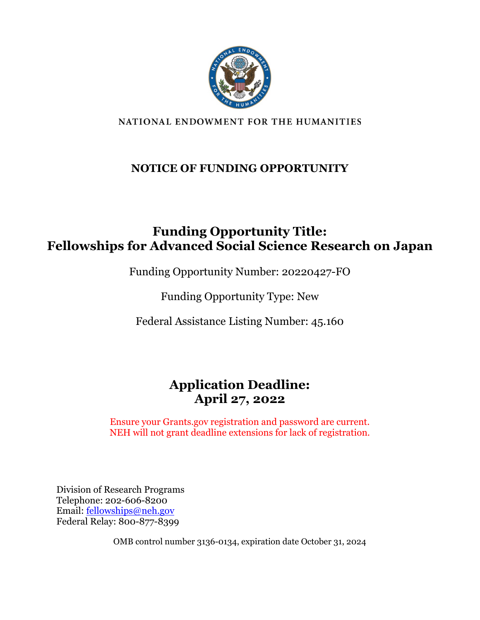

#### NATIONAL ENDOWMENT FOR THE HUMANITIES

### **NOTICE OF FUNDING OPPORTUNITY**

### **Funding Opportunity Title: Fellowships for Advanced Social Science Research on Japan**

Funding Opportunity Number: 20220427-FO

Funding Opportunity Type: New

Federal Assistance Listing Number: 45.160

## **Application Deadline: April 27, 2022**

Ensure your Grants.gov registration and password are current. NEH will not grant deadline extensions for lack of registration.

Division of Research Programs Telephone: 202-606-8200 Email: [fellowships@neh.gov](mailto:fellowships@neh.gov) Federal Relay: 800-877-8399

OMB control number 3136-0134, expiration date October 31, 2024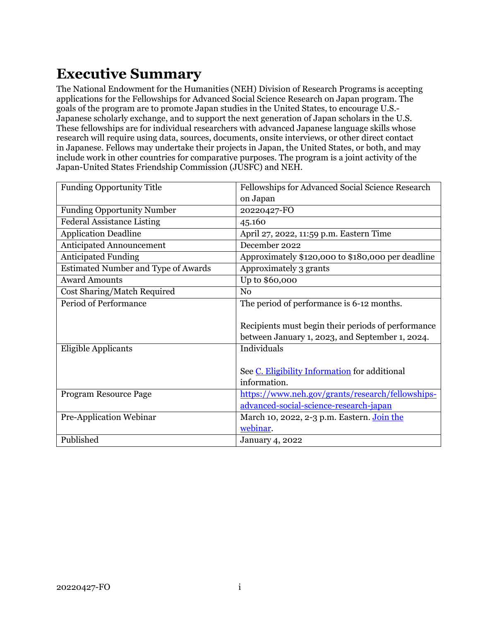# <span id="page-1-0"></span>**Executive Summary**

The National Endowment for the Humanities (NEH) Division of Research Programs is accepting applications for the Fellowships for Advanced Social Science Research on Japan program. The goals of the program are to promote Japan studies in the United States, to encourage U.S.- Japanese scholarly exchange, and to support the next generation of Japan scholars in the U.S. These fellowships are for individual researchers with advanced Japanese language skills whose research will require using data, sources, documents, onsite interviews, or other direct contact in Japanese. Fellows may undertake their projects in Japan, the United States, or both, and may include work in other countries for comparative purposes. The program is a joint activity of the Japan-United States Friendship Commission (JUSFC) and NEH.

| <b>Funding Opportunity Title</b>           | Fellowships for Advanced Social Science Research   |  |
|--------------------------------------------|----------------------------------------------------|--|
|                                            | on Japan                                           |  |
| <b>Funding Opportunity Number</b>          | 20220427-FO                                        |  |
| <b>Federal Assistance Listing</b>          | 45.160                                             |  |
| <b>Application Deadline</b>                | April 27, 2022, 11:59 p.m. Eastern Time            |  |
| <b>Anticipated Announcement</b>            | December 2022                                      |  |
| <b>Anticipated Funding</b>                 | Approximately \$120,000 to \$180,000 per deadline  |  |
| <b>Estimated Number and Type of Awards</b> | Approximately 3 grants                             |  |
| <b>Award Amounts</b>                       | Up to \$60,000                                     |  |
| Cost Sharing/Match Required                | N <sub>0</sub>                                     |  |
| Period of Performance                      | The period of performance is 6-12 months.          |  |
|                                            |                                                    |  |
|                                            | Recipients must begin their periods of performance |  |
|                                            | between January 1, 2023, and September 1, 2024.    |  |
| <b>Eligible Applicants</b>                 | Individuals                                        |  |
|                                            |                                                    |  |
|                                            | See C. Eligibility Information for additional      |  |
|                                            | information.                                       |  |
| Program Resource Page                      | https://www.neh.gov/grants/research/fellowships-   |  |
|                                            | advanced-social-science-research-japan             |  |
| Pre-Application Webinar                    | March 10, 2022, 2-3 p.m. Eastern. Join the         |  |
|                                            | webinar.                                           |  |
| Published                                  | <b>January 4, 2022</b>                             |  |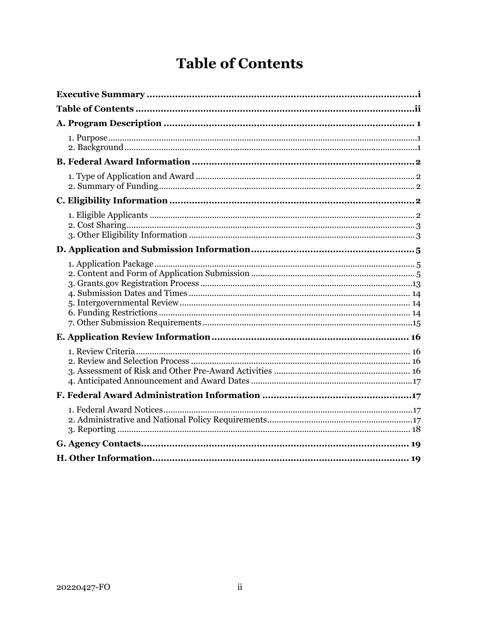# **Table of Contents**

<span id="page-2-0"></span>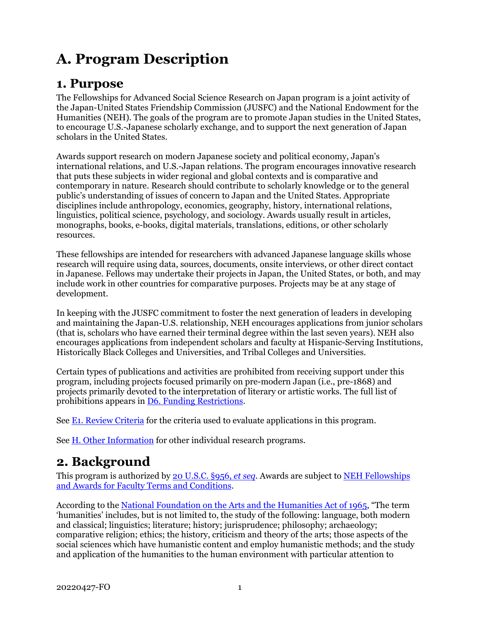# <span id="page-3-0"></span>**A. Program Description**

### <span id="page-3-1"></span>**1. Purpose**

The Fellowships for Advanced Social Science Research on Japan program is a joint activity of the Japan-United States Friendship Commission (JUSFC) and the National Endowment for the Humanities (NEH). The goals of the program are to promote Japan studies in the United States, to encourage U.S.-Japanese scholarly exchange, and to support the next generation of Japan scholars in the United States.

Awards support research on modern Japanese society and political economy, Japan's international relations, and U.S.-Japan relations. The program encourages innovative research that puts these subjects in wider regional and global contexts and is comparative and contemporary in nature. Research should contribute to scholarly knowledge or to the general public's understanding of issues of concern to Japan and the United States. Appropriate disciplines include anthropology, economics, geography, history, international relations, linguistics, political science, psychology, and sociology. Awards usually result in articles, monographs, books, e-books, digital materials, translations, editions, or other scholarly resources.

These fellowships are intended for researchers with advanced Japanese language skills whose research will require using data, sources, documents, onsite interviews, or other direct contact in Japanese. Fellows may undertake their projects in Japan, the United States, or both, and may include work in other countries for comparative purposes. Projects may be at any stage of development.

In keeping with the JUSFC commitment to foster the next generation of leaders in developing and maintaining the Japan-U.S. relationship, NEH encourages applications from junior scholars (that is, scholars who have earned their terminal degree within the last seven years). NEH also encourages applications from independent scholars and faculty at Hispanic-Serving Institutions, Historically Black Colleges and Universities, and Tribal Colleges and Universities.

Certain types of publications and activities are prohibited from receiving support under this program, including projects focused primarily on pre-modern Japan (i.e., pre-1868) and projects primarily devoted to the interpretation of literary or artistic works. The full list of prohibitions appears in [D6. Funding Restrictions.](#page-16-2)

See [E1. Review Criteria](#page-18-1) for the criteria used to evaluate applications in this program.

See [H. Other Information](#page-21-2) for other individual research programs.

## <span id="page-3-2"></span>**2. Background**

This program is authorized by [20 U.S.C.](https://uscode.house.gov/view.xhtml?hl=false&edition=prelim&req=granuleid%3AUSC-prelim-title20-section956&num=0&saved=%7CKHRpdGxlOjIwIHNlY3Rpb246OTU2YSBlZGl0aW9uOnByZWxpbSk%3D%7C%7C%7C0%7Cfalse%7Cprelim) §956, *et seq*. Awards are subject to [NEH Fellowships](https://www.neh.gov/grants/manage/neh-fellowships-terms-and-conditions)  [and Awards for Faculty Terms and Conditions.](https://www.neh.gov/grants/manage/neh-fellowships-terms-and-conditions)

According to the [National Foundation on the Arts and the Humanities Act](https://www.neh.gov/about/history/national-foundation-arts-and-humanities-act-1965-pl-89-209) of 1965, "The term 'humanities' includes, but is not limited to, the study of the following: language, both modern and classical; linguistics; literature; history; jurisprudence; philosophy; archaeology; comparative religion; ethics; the history, criticism and theory of the arts; those aspects of the social sciences which have humanistic content and employ humanistic methods; and the study and application of the humanities to the human environment with particular attention to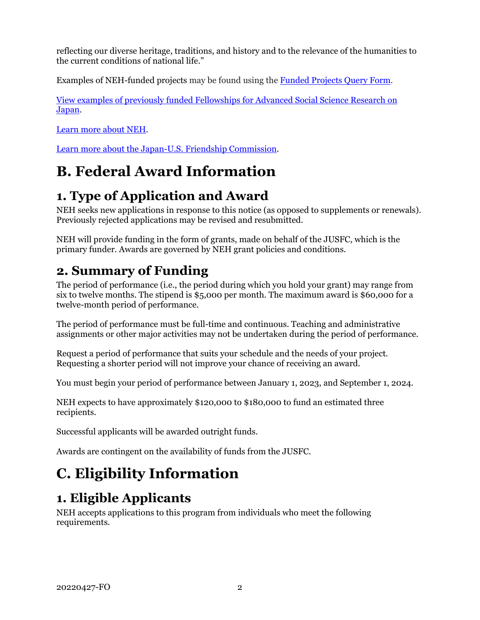reflecting our diverse heritage, traditions, and history and to the relevance of the humanities to the current conditions of national life."

Examples of NEH-funded projects may be found using the [Funded Projects](https://securegrants.neh.gov/publicquery/main.aspx) Query Form.

[View examples of previously funded Fellowships for Advanced Social Science Research on](https://securegrants.neh.gov/publicquery/main.aspx?q=1&a=0&n=0&o=0&k=0&f=0&s=0&p=1&pv=207&d=0&y=0&prd=0&cov=0&prz=0&wp=0&pg=0&ob=year&or=DESC)  [Japan.](https://securegrants.neh.gov/publicquery/main.aspx?q=1&a=0&n=0&o=0&k=0&f=0&s=0&p=1&pv=207&d=0&y=0&prd=0&cov=0&prz=0&wp=0&pg=0&ob=year&or=DESC)

[Learn more about NEH.](https://www.neh.gov/about)

<span id="page-4-1"></span>[Learn more about the Japan-U.S. Friendship Commission.](https://www.jusfc.gov/about/)

# **B. Federal Award Information**

## <span id="page-4-2"></span>**1. Type of Application and Award**

NEH seeks new applications in response to this notice (as opposed to supplements or renewals). Previously rejected applications may be revised and resubmitted.

NEH will provide funding in the form of grants, made on behalf of the JUSFC, which is the primary funder. Awards are governed by NEH grant policies and conditions.

## **2. Summary of Funding**

<span id="page-4-3"></span>The period of performance (i.e., the period during which you hold your grant) may range from six to twelve months. The stipend is \$5,000 per month. The maximum award is \$60,000 for a twelve-month period of performance.

The period of performance must be full-time and continuous. Teaching and administrative assignments or other major activities may not be undertaken during the period of performance.

Request a period of performance that suits your schedule and the needs of your project. Requesting a shorter period will not improve your chance of receiving an award.

You must begin your period of performance between January 1, 2023, and September 1, 2024.

NEH expects to have approximately \$120,000 to \$180,000 to fund an estimated three recipients.

Successful applicants will be awarded outright funds.

Awards are contingent on the availability of funds from the JUSFC.

# <span id="page-4-0"></span>**C. Eligibility Information**

## <span id="page-4-4"></span>**1. Eligible Applicants**

NEH accepts applications to this program from individuals who meet the following requirements.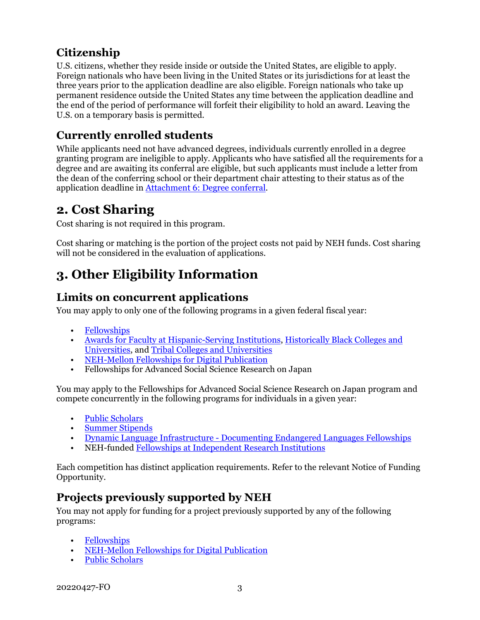### **Citizenship**

U.S. citizens, whether they reside inside or outside the United States, are eligible to apply. Foreign nationals who have been living in the United States or its jurisdictions for at least the three years prior to the application deadline are also eligible. Foreign nationals who take up permanent residence outside the United States any time between the application deadline and the end of the period of performance will forfeit their eligibility to hold an award. Leaving the U.S. on a temporary basis is permitted.

### **Currently enrolled students**

While applicants need not have advanced degrees, individuals currently enrolled in a degree granting program are ineligible to apply. Applicants who have satisfied all the requirements for a degree and are awaiting its conferral are eligible, but such applicants must include a letter from the dean of the conferring school or their department chair attesting to their status as of the application deadline in [Attachment 6: Degree conferral.](#page-15-1)

## <span id="page-5-0"></span>**2. Cost Sharing**

Cost sharing is not required in this program.

Cost sharing or matching is the portion of the project costs not paid by NEH funds. Cost sharing will not be considered in the evaluation of applications.

## <span id="page-5-1"></span>**3. Other Eligibility Information**

### **Limits on concurrent applications**

You may apply to only one of the following programs in a given federal fiscal year:

- [Fellowships](https://www.neh.gov/grants/research/fellowships)
- [Awards for Faculty at Hispanic-Serving Institutions,](https://www.neh.gov/grants/research/awards-faculty-hispanic-serving-institutions) [Historically Black Colleges and](https://www.neh.gov/grants/research/awards-faculty-historically-black-colleges-and-universities)  [Universities,](https://www.neh.gov/grants/research/awards-faculty-historically-black-colleges-and-universities) and [Tribal Colleges and Universities](https://www.neh.gov/grants/research/awards-faculty-tribal-colleges-and-universities)
- [NEH-Mellon Fellowships for Digital Publication](https://www.neh.gov/grants/research/neh-mellon-fellowships-digital-publication)
- Fellowships for Advanced Social Science Research on Japan

You may apply to the Fellowships for Advanced Social Science Research on Japan program and compete concurrently in the following programs for individuals in a given year:

- [Public Scholars](https://www.neh.gov/grants/research/public-scholar-program)
- [Summer Stipends](https://www.neh.gov/grants/research/summer-stipends)
- Dynamic Language Infrastructure [Documenting Endangered Languages Fellowships](https://www.neh.gov/program/dli-del-fellowships)
- NEH-funde[d Fellowships at Independent Research Institutions](https://www.neh.gov/grants/research/fellowship-programs-independent-research-institutions)

Each competition has distinct application requirements. Refer to the relevant Notice of Funding Opportunity.

### **Projects previously supported by NEH**

You may not apply for funding for a project previously supported by any of the following programs:

- [Fellowships](https://www.neh.gov/grants/research/fellowships)
- [NEH-Mellon Fellowships for Digital Publication](https://www.neh.gov/grants/research/neh-mellon-fellowships-digital-publication)
- [Public Scholars](https://www.neh.gov/grants/research/public-scholar-program)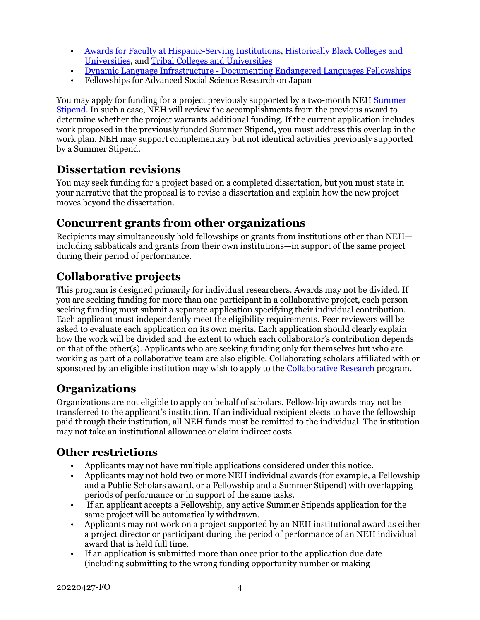- [Awards for Faculty at Hispanic-Serving Institutions,](https://www.neh.gov/grants/research/awards-faculty-hispanic-serving-institutions) [Historically Black Colleges and](https://www.neh.gov/grants/research/awards-faculty-historically-black-colleges-and-universities)  [Universities,](https://www.neh.gov/grants/research/awards-faculty-historically-black-colleges-and-universities) and [Tribal Colleges and Universities](https://www.neh.gov/grants/research/awards-faculty-tribal-colleges-and-universities)
- Dynamic Language Infrastructure [Documenting Endangered Languages Fellowships](https://www.neh.gov/program/dli-del-fellowships)
- Fellowships for Advanced Social Science Research on Japan

You may apply for funding for a project previously supported by a two-month NEH [Summer](https://www.neh.gov/grants/research/summer-stipends)  [Stipend.](https://www.neh.gov/grants/research/summer-stipends) In such a case, NEH will review the accomplishments from the previous award to determine whether the project warrants additional funding. If the current application includes work proposed in the previously funded Summer Stipend, you must address this overlap in the work plan. NEH may support complementary but not identical activities previously supported by a Summer Stipend.

### **Dissertation revisions**

You may seek funding for a project based on a completed dissertation, but you must state in your narrative that the proposal is to revise a dissertation and explain how the new project moves beyond the dissertation.

### **Concurrent grants from other organizations**

Recipients may simultaneously hold fellowships or grants from institutions other than NEH including sabbaticals and grants from their own institutions—in support of the same project during their period of performance.

### **Collaborative projects**

This program is designed primarily for individual researchers. Awards may not be divided. If you are seeking funding for more than one participant in a collaborative project, each person seeking funding must submit a separate application specifying their individual contribution. Each applicant must independently meet the eligibility requirements. Peer reviewers will be asked to evaluate each application on its own merits. Each application should clearly explain how the work will be divided and the extent to which each collaborator's contribution depends on that of the other(s). Applicants who are seeking funding only for themselves but who are working as part of a collaborative team are also eligible. Collaborating scholars affiliated with or sponsored by an eligible institution may wish to apply to the [Collaborative Research](https://www.neh.gov/grants/research/collaborative-research-grants) program.

### **Organizations**

Organizations are not eligible to apply on behalf of scholars. Fellowship awards may not be transferred to the applicant's institution. If an individual recipient elects to have the fellowship paid through their institution, all NEH funds must be remitted to the individual. The institution may not take an institutional allowance or claim indirect costs.

### **Other restrictions**

- Applicants may not have multiple applications considered under this notice.
- Applicants may not hold two or more NEH individual awards (for example, a Fellowship and a Public Scholars award, or a Fellowship and a Summer Stipend) with overlapping periods of performance or in support of the same tasks.
- If an applicant accepts a Fellowship, any active Summer Stipends application for the same project will be automatically withdrawn.
- Applicants may not work on a project supported by an NEH institutional award as either a project director or participant during the period of performance of an NEH individual award that is held full time.
- If an application is submitted more than once prior to the application due date (including submitting to the wrong funding opportunity number or making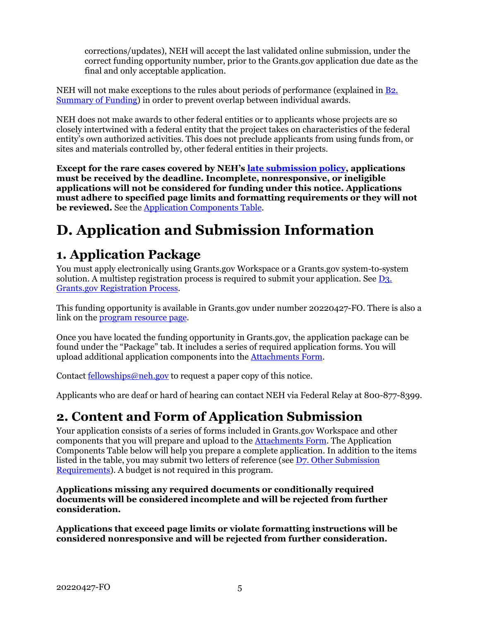corrections/updates), NEH will accept the last validated online submission, under the correct funding opportunity number, prior to the Grants.gov application due date as the final and only acceptable application.

NEH will not make exceptions to the rules about periods of performance (explained in [B2.](#page-4-3)  [Summary of Funding\)](#page-4-3) in order to prevent overlap between individual awards.

NEH does not make awards to other federal entities or to applicants whose projects are so closely intertwined with a federal entity that the project takes on characteristics of the federal entity's own authorized activities. This does not preclude applicants from using funds from, or sites and materials controlled by, other federal entities in their projects.

**Except for the rare cases covered by NEH's [late submission policy,](https://www.neh.gov/grants/policy-on-late-submissions) applications must be received by the deadline. Incomplete, nonresponsive, or ineligible applications will not be considered for funding under this notice. Applications must adhere to specified page limits and formatting requirements or they will not be reviewed.** See the [Application Components Table.](#page-7-2)

# <span id="page-7-0"></span>**D. Application and Submission Information**

## <span id="page-7-1"></span>**1. Application Package**

You must apply electronically using Grants.gov Workspace or a Grants.gov system-to-system solution. A multistep registration process is required to submit your application. See  $D_3$ . [Grants.gov Registration Process.](#page-15-0)

This funding opportunity is available in Grants.gov under number 20220427-FO. There is also a link on the [program resource page.](https://www.neh.gov/grants/research/fellowships-advanced-social-science-research-japan)

Once you have located the funding opportunity in Grants.gov, the application package can be found under the "Package" tab. It includes a series of required application forms. You will upload additional application components into the [Attachments Form.](#page-11-0)

Contact <u>fellowships@neh.gov</u> to request a paper copy of this notice.

<span id="page-7-2"></span>Applicants who are deaf or hard of hearing can contact NEH via Federal Relay at 800-877-8399.

## **2. Content and Form of Application Submission**

Your application consists of a series of forms included in Grants.gov Workspace and other components that you will prepare and upload to the [Attachments Form.](#page-11-0) The Application Components Table below will help you prepare a complete application. In addition to the items listed in the table, you may submit two letters of reference (see [D7. Other Submission](#page-17-0)  [Requirements\)](#page-17-0). A budget is not required in this program.

**Applications missing any required documents or conditionally required documents will be considered incomplete and will be rejected from further consideration.**

**Applications that exceed page limits or violate formatting instructions will be considered nonresponsive and will be rejected from further consideration.**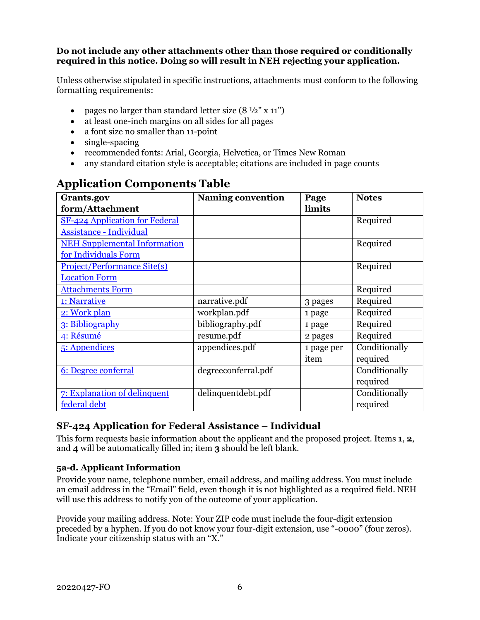#### **Do not include any other attachments other than those required or conditionally required in this notice. Doing so will result in NEH rejecting your application.**

Unless otherwise stipulated in specific instructions, attachments must conform to the following formatting requirements:

- pages no larger than standard letter size  $(8 \frac{1}{2}$ " x 11")
- at least one-inch margins on all sides for all pages
- a font size no smaller than 11-point
- single-spacing
- recommended fonts: Arial, Georgia, Helvetica, or Times New Roman
- any standard citation style is acceptable; citations are included in page counts

| Grants.gov                            | <b>Naming convention</b> | Page       | <b>Notes</b>  |
|---------------------------------------|--------------------------|------------|---------------|
| form/Attachment                       |                          | limits     |               |
| <b>SF-424 Application for Federal</b> |                          |            | Required      |
| <b>Assistance - Individual</b>        |                          |            |               |
| <b>NEH Supplemental Information</b>   |                          |            | Required      |
| for Individuals Form                  |                          |            |               |
| <b>Project/Performance Site(s)</b>    |                          |            | Required      |
| <b>Location Form</b>                  |                          |            |               |
| <b>Attachments Form</b>               |                          |            | Required      |
| 1: Narrative                          | narrative.pdf            | 3 pages    | Required      |
| 2: Work plan                          | workplan.pdf             | 1 page     | Required      |
| 3: Bibliography                       | bibliography.pdf         | 1 page     | Required      |
| 4: Résumé                             | resume.pdf               | 2 pages    | Required      |
| 5: Appendices                         | appendices.pdf           | 1 page per | Conditionally |
|                                       |                          | item       | required      |
| 6: Degree conferral                   | degreeconferral.pdf      |            | Conditionally |
|                                       |                          |            | required      |
| 7: Explanation of delinquent          | delinquentdebt.pdf       |            | Conditionally |
| federal debt                          |                          |            | required      |

### **Application Components Table**

#### **SF-424 Application for Federal Assistance – Individual**

<span id="page-8-0"></span>This form requests basic information about the applicant and the proposed project. Items **1**, **2**, and **4** will be automatically filled in; item **3** should be left blank.

#### **5a-d. Applicant Information**

Provide your name, telephone number, email address, and mailing address. You must include an email address in the "Email" field, even though it is not highlighted as a required field. NEH will use this address to notify you of the outcome of your application.

Provide your mailing address. Note: Your ZIP code must include the four-digit extension preceded by a hyphen. If you do not know your four-digit extension, use "-0000" (four zeros). Indicate your citizenship status with an "X."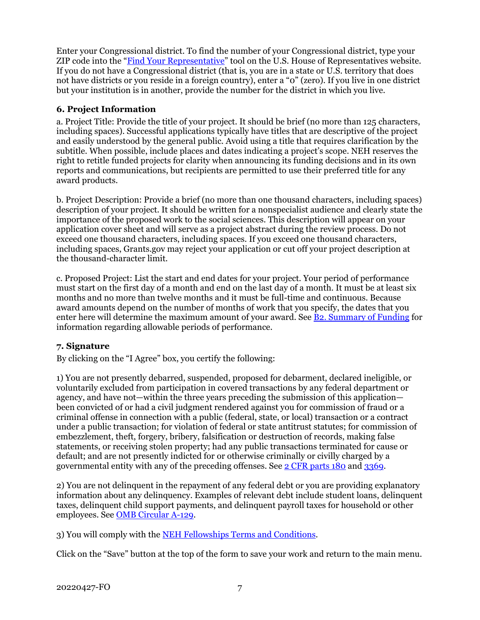Enter your Congressional district. To find the number of your Congressional district, type your ZIP code into the ["Find Your Representative"](https://www.house.gov/representatives/find-your-representative) tool on the U.S. House of Representatives website. If you do not have a Congressional district (that is, you are in a state or U.S. territory that does not have districts or you reside in a foreign country), enter a "0" (zero). If you live in one district but your institution is in another, provide the number for the district in which you live.

#### **6. Project Information**

a. Project Title: Provide the title of your project. It should be brief (no more than 125 characters, including spaces). Successful applications typically have titles that are descriptive of the project and easily understood by the general public. Avoid using a title that requires clarification by the subtitle. When possible, include places and dates indicating a project's scope. NEH reserves the right to retitle funded projects for clarity when announcing its funding decisions and in its own reports and communications, but recipients are permitted to use their preferred title for any award products.

b. Project Description: Provide a brief (no more than one thousand characters, including spaces) description of your project. It should be written for a nonspecialist audience and clearly state the importance of the proposed work to the social sciences. This description will appear on your application cover sheet and will serve as a project abstract during the review process. Do not exceed one thousand characters, including spaces. If you exceed one thousand characters, including spaces, Grants.gov may reject your application or cut off your project description at the thousand-character limit.

c. Proposed Project: List the start and end dates for your project. Your period of performance must start on the first day of a month and end on the last day of a month. It must be at least six months and no more than twelve months and it must be full-time and continuous. Because award amounts depend on the number of months of work that you specify, the dates that you enter here will determine the maximum amount of your award. See **B2**. Summary of Funding for information regarding allowable periods of performance.

#### **7. Signature**

By clicking on the "I Agree" box, you certify the following:

1) You are not presently debarred, suspended, proposed for debarment, declared ineligible, or voluntarily excluded from participation in covered transactions by any federal department or agency, and have not—within the three years preceding the submission of this application been convicted of or had a civil judgment rendered against you for commission of fraud or a criminal offense in connection with a public (federal, state, or local) transaction or a contract under a public transaction; for violation of federal or state antitrust statutes; for commission of embezzlement, theft, forgery, bribery, falsification or destruction of records, making false statements, or receiving stolen property; had any public transactions terminated for cause or default; and are not presently indicted for or otherwise criminally or civilly charged by a governmental entity with any of the preceding offenses. See [2 CFR parts 180](https://www.ecfr.gov/current/title-2/subtitle-A/chapter-I/part-180/subpart-C) and [3369.](https://www.ecfr.gov/current/title-2/subtitle-B/chapter-XXXIII/part-3369)

2) You are not delinquent in the repayment of any federal debt or you are providing explanatory information about any delinquency. Examples of relevant debt include student loans, delinquent taxes, delinquent child support payments, and delinquent payroll taxes for household or other employees. See [OMB Circular A-129.](https://www.whitehouse.gov/sites/whitehouse.gov/files/omb/circulars/A129/a-129.pdf)

3) You will comply with the NEH Fellowships [Terms and Conditions.](https://www.neh.gov/grants/manage/neh-fellowships-terms-and-conditions)

Click on the "Save" button at the top of the form to save your work and return to the main menu.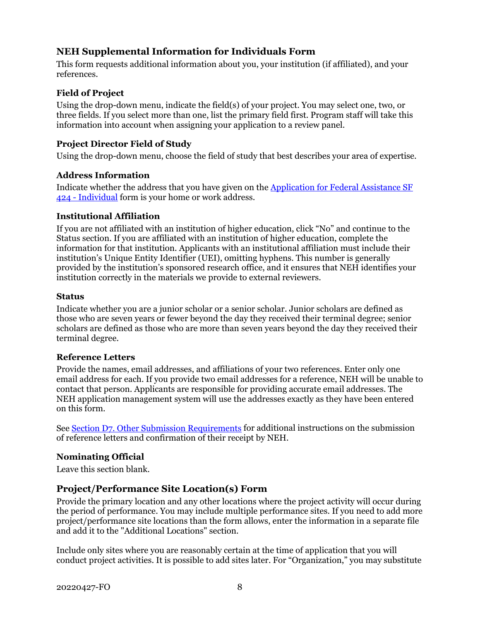#### <span id="page-10-0"></span>**NEH Supplemental Information for Individuals Form**

This form requests additional information about you, your institution (if affiliated), and your references.

#### **Field of Project**

Using the drop-down menu, indicate the field(s) of your project. You may select one, two, or three fields. If you select more than one, list the primary field first. Program staff will take this information into account when assigning your application to a review panel.

#### **Project Director Field of Study**

Using the drop-down menu, choose the field of study that best describes your area of expertise.

#### **Address Information**

Indicate whether the address that you have given on the [Application for Federal Assistance](#page-8-0) SF 424 - [Individual](#page-8-0) form is your home or work address.

#### **Institutional Affiliation**

If you are not affiliated with an institution of higher education, click "No" and continue to the Status section. If you are affiliated with an institution of higher education, complete the information for that institution. Applicants with an institutional affiliation must include their institution's Unique Entity Identifier (UEI), omitting hyphens. This number is generally provided by the institution's sponsored research office, and it ensures that NEH identifies your institution correctly in the materials we provide to external reviewers.

#### **Status**

Indicate whether you are a junior scholar or a senior scholar. Junior scholars are defined as those who are seven years or fewer beyond the day they received their terminal degree; senior scholars are defined as those who are more than seven years beyond the day they received their terminal degree.

#### **Reference Letters**

Provide the names, email addresses, and affiliations of your two references. Enter only one email address for each. If you provide two email addresses for a reference, NEH will be unable to contact that person. Applicants are responsible for providing accurate email addresses. The NEH application management system will use the addresses exactly as they have been entered on this form.

See [Section D7. Other Submission Requirements](#page-17-0) for additional instructions on the submission of reference letters and confirmation of their receipt by NEH.

#### **Nominating Official**

Leave this section blank.

#### **Project/Performance Site Location(s) Form**

<span id="page-10-1"></span>Provide the primary location and any other locations where the project activity will occur during the period of performance. You may include multiple performance sites. If you need to add more project/performance site locations than the form allows, enter the information in a separate file and add it to the "Additional Locations" section.

Include only sites where you are reasonably certain at the time of application that you will conduct project activities. It is possible to add sites later. For "Organization," you may substitute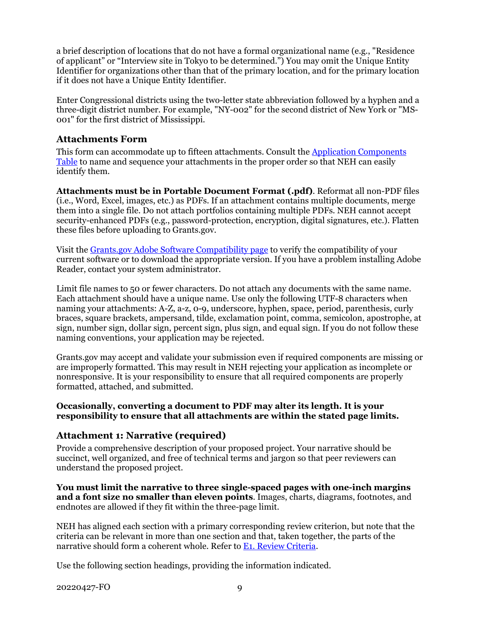a brief description of locations that do not have a formal organizational name (e.g., "Residence of applicant" or "Interview site in Tokyo to be determined.") You may omit the Unique Entity Identifier for organizations other than that of the primary location, and for the primary location if it does not have a Unique Entity Identifier.

Enter Congressional districts using the two-letter state abbreviation followed by a hyphen and a three-digit district number. For example, "NY-002" for the second district of New York or "MS-001" for the first district of Mississippi.

#### **Attachments Form**

<span id="page-11-0"></span>This form can accommodate up to fifteen attachments. Consult the [Application Components](#page-8-0) [Table](#page-8-0) to name and sequence your attachments in the proper order so that NEH can easily identify them.

**Attachments must be in Portable Document Format (.pdf)**. Reformat all non-PDF files (i.e., Word, Excel, images, etc.) as PDFs. If an attachment contains multiple documents, merge them into a single file. Do not attach portfolios containing multiple PDFs. NEH cannot accept security-enhanced PDFs (e.g., password-protection, encryption, digital signatures, etc.). Flatten these files before uploading to Grants.gov.

Visit the Grants.gov [Adobe Software Compatibility page](https://www.grants.gov/web/grants/applicants/adobe-software-compatibility.html) to verify the compatibility of your current software or to download the appropriate version. If you have a problem installing Adobe Reader, contact your system administrator.

Limit file names to 50 or fewer characters. Do not attach any documents with the same name. Each attachment should have a unique name. Use only the following UTF-8 characters when naming your attachments: A-Z, a-z, 0-9, underscore, hyphen, space, period, parenthesis, curly braces, square brackets, ampersand, tilde, exclamation point, comma, semicolon, apostrophe, at sign, number sign, dollar sign, percent sign, plus sign, and equal sign. If you do not follow these naming conventions, your application may be rejected.

Grants.gov may accept and validate your submission even if required components are missing or are improperly formatted. This may result in NEH rejecting your application as incomplete or nonresponsive. It is your responsibility to ensure that all required components are properly formatted, attached, and submitted.

#### **Occasionally, converting a document to PDF may alter its length. It is your responsibility to ensure that all attachments are within the stated page limits.**

#### <span id="page-11-1"></span>**Attachment 1: Narrative (required)**

Provide a comprehensive description of your proposed project. Your narrative should be succinct, well organized, and free of technical terms and jargon so that peer reviewers can understand the proposed project.

**You must limit the narrative to three single-spaced pages with one-inch margins and a font size no smaller than eleven points**. Images, charts, diagrams, footnotes, and endnotes are allowed if they fit within the three-page limit.

NEH has aligned each section with a primary corresponding review criterion, but note that the criteria can be relevant in more than one section and that, taken together, the parts of the narrative should form a coherent whole. Refer to [E1. Review Criteria.](#page-18-1)

Use the following section headings, providing the information indicated.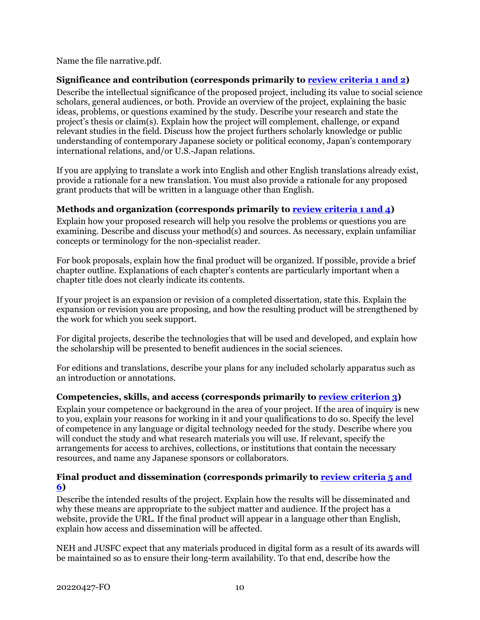Name the file narrative.pdf.

#### **Significance and contribution (corresponds primarily to [review criteria 1 and 2\)](#page-18-1)**

Describe the intellectual significance of the proposed project, including its value to social science scholars, general audiences, or both. Provide an overview of the project, explaining the basic ideas, problems, or questions examined by the study. Describe your research and state the project's thesis or claim(s). Explain how the project will complement, challenge, or expand relevant studies in the field. Discuss how the project furthers scholarly knowledge or public understanding of contemporary Japanese society or political economy, Japan's contemporary international relations, and/or U.S.-Japan relations.

If you are applying to translate a work into English and other English translations already exist, provide a rationale for a new translation. You must also provide a rationale for any proposed grant products that will be written in a language other than English.

#### <span id="page-12-0"></span>**Methods and organization (corresponds primarily to [review criteria 1 and 4\)](#page-18-1)**

Explain how your proposed research will help you resolve the problems or questions you are examining. Describe and discuss your method(s) and sources. As necessary, explain unfamiliar concepts or terminology for the non-specialist reader.

For book proposals, explain how the final product will be organized. If possible, provide a brief chapter outline. Explanations of each chapter's contents are particularly important when a chapter title does not clearly indicate its contents.

If your project is an expansion or revision of a completed dissertation, state this. Explain the expansion or revision you are proposing, and how the resulting product will be strengthened by the work for which you seek support.

For digital projects, describe the technologies that will be used and developed, and explain how the scholarship will be presented to benefit audiences in the social sciences.

For editions and translations, describe your plans for any included scholarly apparatus such as an introduction or annotations.

#### **Competencies, skills, and access (corresponds primarily to [review criterion 3\)](#page-18-1)**

Explain your competence or background in the area of your project. If the area of inquiry is new to you, explain your reasons for working in it and your qualifications to do so. Specify the level of competence in any language or digital technology needed for the study. Describe where you will conduct the study and what research materials you will use. If relevant, specify the arrangements for access to archives, collections, or institutions that contain the necessary resources, and name any Japanese sponsors or collaborators.

#### <span id="page-12-1"></span>Final product and dissemination (corresponds primarily to **review criteria 5 and [6\)](#page-18-1)**

Describe the intended results of the project. Explain how the results will be disseminated and why these means are appropriate to the subject matter and audience. If the project has a website, provide the URL. If the final product will appear in a language other than English, explain how access and dissemination will be affected.

NEH and JUSFC expect that any materials produced in digital form as a result of its awards will be maintained so as to ensure their long-term availability. To that end, describe how the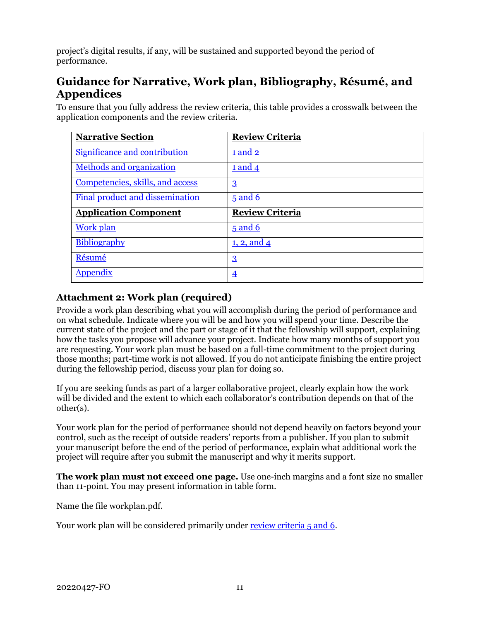<span id="page-13-1"></span>project's digital results, if any, will be sustained and supported beyond the period of performance.

### **Guidance for Narrative, Work plan, Bibliography, Résumé, and Appendices**

To ensure that you fully address the review criteria, this table provides a crosswalk between the application components and the review criteria.

| <b>Narrative Section</b>         | <b>Review Criteria</b> |
|----------------------------------|------------------------|
| Significance and contribution    | 1 and 2                |
| <b>Methods and organization</b>  | 1 and 4                |
| Competencies, skills, and access | $\mathbf{3}$           |
| Final product and dissemination  | $5$ and 6              |
| <b>Application Component</b>     | <b>Review Criteria</b> |
| <b>Work plan</b>                 | $5$ and 6              |
| Bibliography                     | <u>1, 2, and 4</u>     |
| Résumé                           | $\mathbf{3}$           |
| Appendix                         | $\overline{4}$         |

### <span id="page-13-0"></span>**Attachment 2: Work plan (required)**

Provide a work plan describing what you will accomplish during the period of performance and on what schedule. Indicate where you will be and how you will spend your time. Describe the current state of the project and the part or stage of it that the fellowship will support, explaining how the tasks you propose will advance your project. Indicate how many months of support you are requesting. Your work plan must be based on a full-time commitment to the project during those months; part-time work is not allowed. If you do not anticipate finishing the entire project during the fellowship period, discuss your plan for doing so.

If you are seeking funds as part of a larger collaborative project, clearly explain how the work will be divided and the extent to which each collaborator's contribution depends on that of the other(s).

Your work plan for the period of performance should not depend heavily on factors beyond your control, such as the receipt of outside readers' reports from a publisher. If you plan to submit your manuscript before the end of the period of performance, explain what additional work the project will require after you submit the manuscript and why it merits support.

**The work plan must not exceed one page.** Use one-inch margins and a font size no smaller than 11-point. You may present information in table form.

Name the file workplan.pdf.

Your work plan will be considered primarily under [review criteria 5 and 6.](#page-18-1)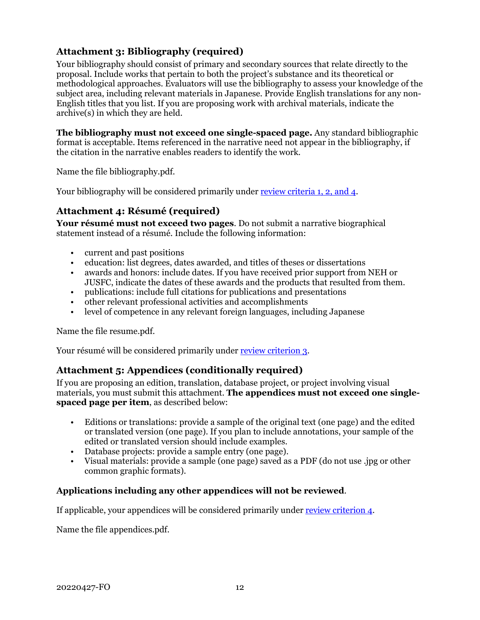#### <span id="page-14-0"></span>**Attachment 3: Bibliography (required)**

Your bibliography should consist of primary and secondary sources that relate directly to the proposal. Include works that pertain to both the project's substance and its theoretical or methodological approaches. Evaluators will use the bibliography to assess your knowledge of the subject area, including relevant materials in Japanese. Provide English translations for any non-English titles that you list. If you are proposing work with archival materials, indicate the archive(s) in which they are held.

**The bibliography must not exceed one single-spaced page.** Any standard bibliographic format is acceptable. Items referenced in the narrative need not appear in the bibliography, if the citation in the narrative enables readers to identify the work.

Name the file bibliography.pdf.

Your bibliography will be considered primarily under [review criteria 1, 2, and 4](#page-18-1).

#### <span id="page-14-1"></span>**Attachment 4: Résumé (required)**

**Your résumé must not exceed two pages**. Do not submit a narrative biographical statement instead of a résumé. Include the following information:

- current and past positions
- education: list degrees, dates awarded, and titles of theses or dissertations
- awards and honors: include dates. If you have received prior support from NEH or JUSFC, indicate the dates of these awards and the products that resulted from them.
- publications: include full citations for publications and presentations
- other relevant professional activities and accomplishments
- level of competence in any relevant foreign languages, including Japanese

Name the file resume.pdf.

<span id="page-14-2"></span>Your résumé will be considered primarily under [review criterion 3.](#page-18-1)

#### **Attachment 5: Appendices (conditionally required)**

If you are proposing an edition, translation, database project, or project involving visual materials, you must submit this attachment. **The appendices must not exceed one singlespaced page per item**, as described below:

- Editions or translations: provide a sample of the original text (one page) and the edited or translated version (one page). If you plan to include annotations, your sample of the edited or translated version should include examples.
- Database projects: provide a sample entry (one page).
- Visual materials: provide a sample (one page) saved as a PDF (do not use .jpg or other common graphic formats).

#### **Applications including any other appendices will not be reviewed**.

If applicable, your appendices will be considered primarily under [review criterion 4.](#page-18-1)

Name the file appendices.pdf.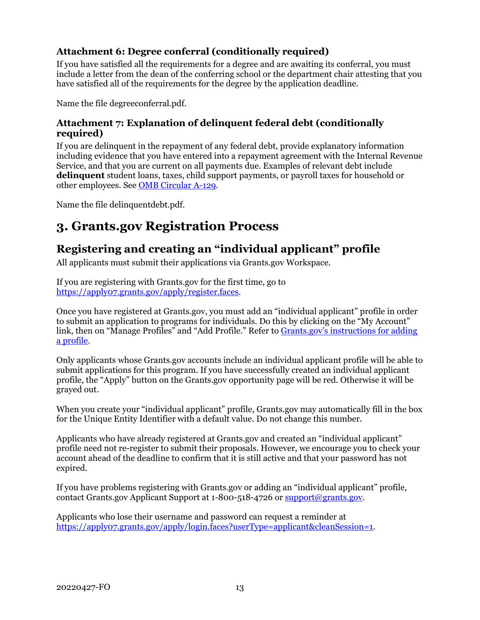#### <span id="page-15-1"></span>**Attachment 6: Degree conferral (conditionally required)**

If you have satisfied all the requirements for a degree and are awaiting its conferral, you must include a letter from the dean of the conferring school or the department chair attesting that you have satisfied all of the requirements for the degree by the application deadline.

<span id="page-15-2"></span>Name the file degreeconferral.pdf.

#### **Attachment 7: Explanation of delinquent federal debt (conditionally required)**

If you are delinquent in the repayment of any federal debt, provide explanatory information including evidence that you have entered into a repayment agreement with the Internal Revenue Service, and that you are current on all payments due. Examples of relevant debt include **delinquent** student loans, taxes, child support payments, or payroll taxes for household or other employees. See [OMB Circular A-129.](https://www.whitehouse.gov/sites/whitehouse.gov/files/omb/circulars/A129/a-129.pdf)

Name the file delinquentdebt.pdf.

## **3. Grants.gov Registration Process**

### <span id="page-15-0"></span>**Registering and creating an "individual applicant" profile**

All applicants must submit their applications via Grants.gov Workspace.

If you are registering with Grants.gov for the first time, go to [https://apply07.grants.gov/apply/register.faces.](https://apply07.grants.gov/apply/register.faces)

Once you have registered at Grants.gov, you must add an "individual applicant" profile in order to submit an application to programs for individuals. Do this by clicking on the "My Account" link, then on "Manage Profiles" and "Add Profile." Refer to Grants.gov's instructions for adding [a profile.](https://www.grants.gov/help/html/help/index.htm?callingApp=custom#t=Register%2FAddProfile.htm)

Only applicants whose Grants.gov accounts include an individual applicant profile will be able to submit applications for this program. If you have successfully created an individual applicant profile, the "Apply" button on the Grants.gov opportunity page will be red. Otherwise it will be grayed out.

When you create your "individual applicant" profile, Grants.gov may automatically fill in the box for the Unique Entity Identifier with a default value. Do not change this number.

Applicants who have already registered at Grants.gov and created an "individual applicant" profile need not re-register to submit their proposals. However, we encourage you to check your account ahead of the deadline to confirm that it is still active and that your password has not expired.

If you have problems registering with Grants.gov or adding an "individual applicant" profile, contact Grants.gov Applicant Support at 1-800-518-4726 o[r support@grants.gov.](mailto:support@grants.gov)

Applicants who lose their username and password can request a reminder at [https://apply07.grants.gov/apply/login.faces?userType=applicant&cleanSession=1.](https://apply07.grants.gov/apply/login.faces?userType=applicant&cleanSession=1)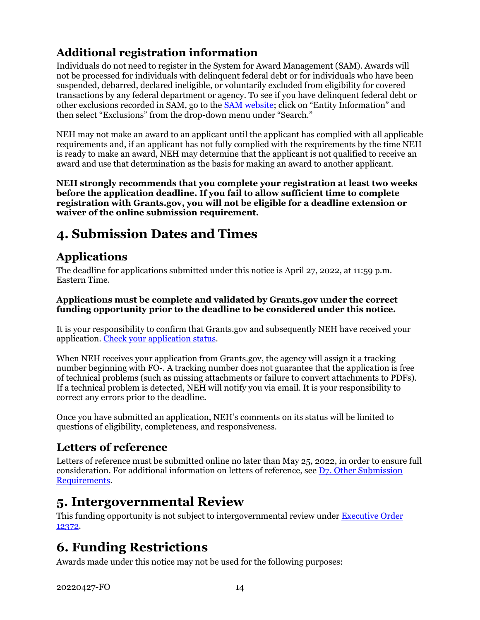## **Additional registration information**

Individuals do not need to register in the System for Award Management (SAM). Awards will not be processed for individuals with delinquent federal debt or for individuals who have been suspended, debarred, declared ineligible, or voluntarily excluded from eligibility for covered transactions by any federal department or agency. To see if you have delinquent federal debt or other exclusions recorded in SAM, go to the [SAM website;](https://sam.gov/content/home) click on "Entity Information" and then select "Exclusions" from the drop-down menu under "Search."

NEH may not make an award to an applicant until the applicant has complied with all applicable requirements and, if an applicant has not fully complied with the requirements by the time NEH is ready to make an award, NEH may determine that the applicant is not qualified to receive an award and use that determination as the basis for making an award to another applicant.

**NEH strongly recommends that you complete your registration at least two weeks before the application deadline. If you fail to allow sufficient time to complete registration with Grants.gov, you will not be eligible for a deadline extension or waiver of the online submission requirement.**

## <span id="page-16-0"></span>**4. Submission Dates and Times**

### **Applications**

The deadline for applications submitted under this notice is April 27, 2022, at 11:59 p.m. Eastern Time.

#### **Applications must be complete and validated by Grants.gov under the correct funding opportunity prior to the deadline to be considered under this notice.**

It is your responsibility to confirm that Grants.gov and subsequently NEH have received your application. [Check your application status.](https://www.grants.gov/help/html/help/Applicants/CheckApplicationStatus/CheckApplicationStatus.htm)

When NEH receives your application from Grants.gov, the agency will assign it a tracking number beginning with FO-. A tracking number does not guarantee that the application is free of technical problems (such as missing attachments or failure to convert attachments to PDFs). If a technical problem is detected, NEH will notify you via email. It is your responsibility to correct any errors prior to the deadline.

Once you have submitted an application, NEH's comments on its status will be limited to questions of eligibility, completeness, and responsiveness.

### **Letters of reference**

Letters of reference must be submitted online no later than May 25, 2022, in order to ensure full consideration. For additional information on letters of reference, see [D7. Other Submission](#page-17-0)  [Requirements.](#page-17-0)

## <span id="page-16-1"></span>**5. Intergovernmental Review**

This funding opportunity is not subject to intergovernmental review under [Executive Order](https://www.archives.gov/federal-register/codification/executive-order/12372.html)  [12372.](https://www.archives.gov/federal-register/codification/executive-order/12372.html)

## <span id="page-16-2"></span>**6. Funding Restrictions**

Awards made under this notice may not be used for the following purposes: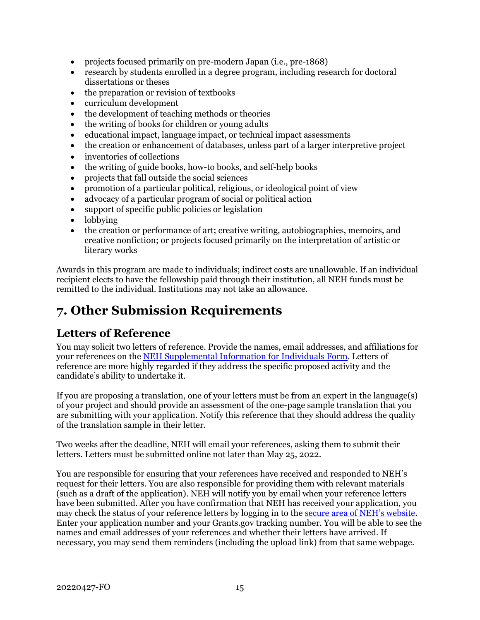- projects focused primarily on pre-modern Japan (i.e., pre-1868)
- research by students enrolled in a degree program, including research for doctoral dissertations or theses
- the preparation or revision of textbooks
- curriculum development
- the development of teaching methods or theories
- the writing of books for children or young adults
- educational impact, language impact, or technical impact assessments
- the creation or enhancement of databases, unless part of a larger interpretive project
- inventories of collections
- the writing of guide books, how-to books, and self-help books
- projects that fall outside the social sciences
- promotion of a particular political, religious, or ideological point of view
- advocacy of a particular program of social or political action
- support of specific public policies or legislation
- lobbying
- the creation or performance of art; creative writing, autobiographies, memoirs, and creative nonfiction; or projects focused primarily on the interpretation of artistic or literary works

Awards in this program are made to individuals; indirect costs are unallowable. If an individual recipient elects to have the fellowship paid through their institution, all NEH funds must be remitted to the individual. Institutions may not take an allowance.

## <span id="page-17-0"></span>**7. Other Submission Requirements**

### **Letters of Reference**

You may solicit two letters of reference. Provide the names, email addresses, and affiliations for your references on the [NEH Supplemental Information for Individuals Form.](#page-10-0) Letters of reference are more highly regarded if they address the specific proposed activity and the candidate's ability to undertake it.

If you are proposing a translation, one of your letters must be from an expert in the language(s) of your project and should provide an assessment of the one-page sample translation that you are submitting with your application. Notify this reference that they should address the quality of the translation sample in their letter.

Two weeks after the deadline, NEH will email your references, asking them to submit their letters. Letters must be submitted online not later than May 25, 2022.

You are responsible for ensuring that your references have received and responded to NEH's request for their letters. You are also responsible for providing them with relevant materials (such as a draft of the application). NEH will notify you by email when your reference letters have been submitted. After you have confirmation that NEH has received your application, you may check the status of your reference letters by logging in to the [secure area of NEH's website.](https://securegrants.neh.gov/AppStatus/) Enter your application number and your Grants.gov tracking number. You will be able to see the names and email addresses of your references and whether their letters have arrived. If necessary, you may send them reminders (including the upload link) from that same webpage.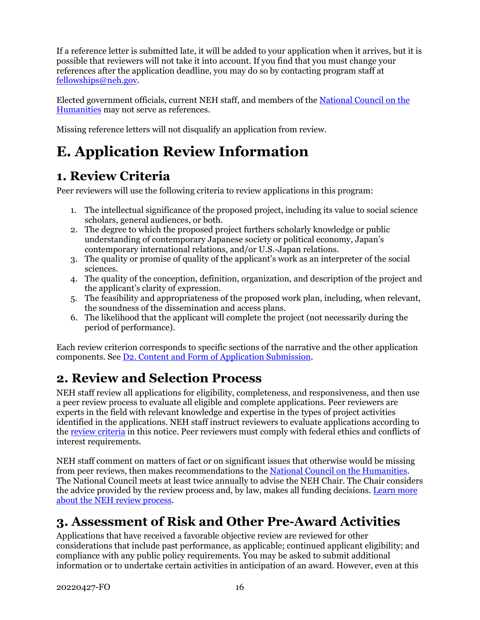If a reference letter is submitted late, it will be added to your application when it arrives, but it is possible that reviewers will not take it into account. If you find that you must change your references after the application deadline, you may do so by contacting program staff at [fellowships@neh.gov.](mailto:fellowships@neh.gov)

Elected government officials, current NEH staff, and members of the [National Council on the](https://www.neh.gov/about/national-council-on-the-humanities)  [Humanities](https://www.neh.gov/about/national-council-on-the-humanities) may not serve as references.

Missing reference letters will not disqualify an application from review.

# <span id="page-18-0"></span>**E. Application Review Information**

## <span id="page-18-1"></span>**1. Review Criteria**

Peer reviewers will use the following criteria to review applications in this program:

- 1. The intellectual significance of the proposed project, including its value to social science scholars, general audiences, or both.
- 2. The degree to which the proposed project furthers scholarly knowledge or public understanding of contemporary Japanese society or political economy, Japan's contemporary international relations, and/or U.S.-Japan relations.
- 3. The quality or promise of quality of the applicant's work as an interpreter of the social sciences.
- 4. The quality of the conception, definition, organization, and description of the project and the applicant's clarity of expression.
- 5. The feasibility and appropriateness of the proposed work plan, including, when relevant, the soundness of the dissemination and access plans.
- 6. The likelihood that the applicant will complete the project (not necessarily during the period of performance).

Each review criterion corresponds to specific sections of the narrative and the other application components. See [D2. Content and Form of Application Submission.](#page-7-2)

## <span id="page-18-2"></span>**2. Review and Selection Process**

NEH staff review all applications for eligibility, completeness, and responsiveness, and then use a peer review process to evaluate all eligible and complete applications. Peer reviewers are experts in the field with relevant knowledge and expertise in the types of project activities identified in the applications. NEH staff instruct reviewers to evaluate applications according to the [review criteria](#page-18-1) in this notice. Peer reviewers must comply with federal ethics and conflicts of interest requirements.

NEH staff comment on matters of fact or on significant issues that otherwise would be missing from peer reviews, then makes recommendations to the [National Council on the Humanities.](https://www.neh.gov/about/national-council-on-the-humanities) The National Council meets at least twice annually to advise the NEH Chair. The Chair considers the advice provided by the review process and, by law, makes all funding decisions. Learn more [about the NEH review process.](https://www.neh.gov/grants/application-process)

## <span id="page-18-3"></span>**3. Assessment of Risk and Other Pre-Award Activities**

Applications that have received a favorable objective review are reviewed for other considerations that include past performance, as applicable; continued applicant eligibility; and compliance with any public policy requirements. You may be asked to submit additional information or to undertake certain activities in anticipation of an award. However, even at this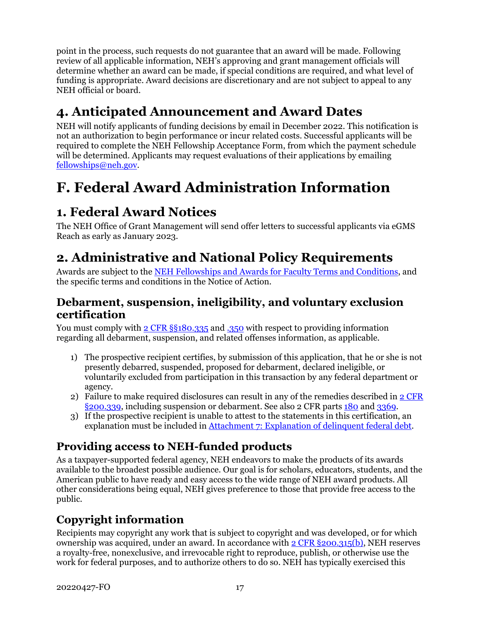point in the process, such requests do not guarantee that an award will be made. Following review of all applicable information, NEH's approving and grant management officials will determine whether an award can be made, if special conditions are required, and what level of funding is appropriate. Award decisions are discretionary and are not subject to appeal to any NEH official or board.

## <span id="page-19-0"></span>**4. Anticipated Announcement and Award Dates**

NEH will notify applicants of funding decisions by email in December 2022. This notification is not an authorization to begin performance or incur related costs. Successful applicants will be required to complete the NEH Fellowship Acceptance Form, from which the payment schedule will be determined. Applicants may request evaluations of their applications by emailing [fellowships@neh.gov.](mailto:fellowships@neh.gov)

# <span id="page-19-1"></span>**F. Federal Award Administration Information**

## <span id="page-19-2"></span>**1. Federal Award Notices**

The NEH Office of Grant Management will send offer letters to successful applicants via eGMS Reach as early as January 2023.

## <span id="page-19-3"></span>**2. Administrative and National Policy Requirements**

Awards are subject to the [NEH Fellowships and Awards for Faculty Terms and Conditions,](https://www.neh.gov/grants/manage/neh-fellowships-terms-and-conditions) and the specific terms and conditions in the Notice of Action.

### **Debarment, suspension, ineligibility, and voluntary exclusion certification**

You must comply with [2 CFR §§180.335](https://www.ecfr.gov/cgi-bin/text-idx?node=2:1.1.1.2.9.3.3.8&rgn=div8) and [.350](https://www.ecfr.gov/cgi-bin/text-idx?SID=8484a1410effbe760bcb6b134d9c035a&mc=true&node=pt2.1.180&rgn=div5#se2.1.180_1350) with respect to providing information regarding all debarment, suspension, and related offenses information, as applicable.

- 1) The prospective recipient certifies, by submission of this application, that he or she is not presently debarred, suspended, proposed for debarment, declared ineligible, or voluntarily excluded from participation in this transaction by any federal department or agency.
- 2) Failure to make required disclosures can result in any of the remedies described in  $2 \text{ CFR}$ [§200.339,](https://www.ecfr.gov/cgi-bin/text-idx?SID=2262ad9c20e9d3a49f2c569c773c8aa1&mc=true&node=pt2.1.200&rgn=div5#se2.1.200_1339) including suspension or debarment. See also 2 CFR parts [180](https://www.ecfr.gov/cgi-bin/text-idx?tpl=/ecfrbrowse/Title02/2cfr180_main_02.tpl) and [3369.](https://www.ecfr.gov/cgi-bin/text-idx?SID=902a748402bef7d8543f27adaf553773&mc=true&node=pt2.1.3369&rgn=div5)
- 3) If the prospective recipient is unable to attest to the statements in this certification, an explanation must be included in [Attachment 7: Explanation of delinquent federal debt.](#page-15-2)

### **Providing access to NEH-funded products**

As a taxpayer-supported federal agency, NEH endeavors to make the products of its awards available to the broadest possible audience. Our goal is for scholars, educators, students, and the American public to have ready and easy access to the wide range of NEH award products. All other considerations being equal, NEH gives preference to those that provide free access to the public.

### **Copyright information**

Recipients may copyright any work that is subject to copyright and was developed, or for which ownership was acquired, under an award. In accordance with 2 CFR [§200.315\(b\),](https://www.ecfr.gov/cgi-bin/text-idx?SID=245f872e0bd31305c176712cd2b8b767&mc=true&node=se2.1.200_1315&rgn=div8) NEH reserves a royalty-free, nonexclusive, and irrevocable right to reproduce, publish, or otherwise use the work for federal purposes, and to authorize others to do so. NEH has typically exercised this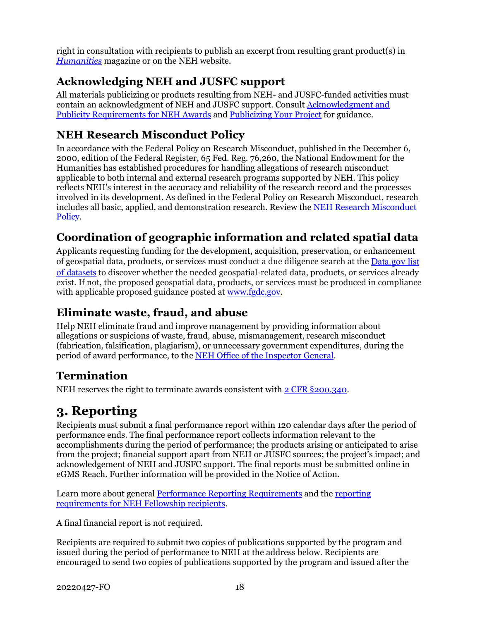right in consultation with recipients to publish an excerpt from resulting grant product(s) in *[Humanities](https://www.neh.gov/humanities)* magazine or on the NEH website.

## **Acknowledging NEH and JUSFC support**

All materials publicizing or products resulting from NEH- and JUSFC-funded activities must contain an acknowledgment of NEH and JUSFC support. Consult [Acknowledgment and](https://www.neh.gov/grants/manage/acknowledgment-and-publicity-requirements-neh-awards)  [Publicity Requirements for NEH Awards](https://www.neh.gov/grants/manage/acknowledgment-and-publicity-requirements-neh-awards) and [Publicizing Your Project](https://www.neh.gov/grants/manage/publicizing-your-project) for guidance.

## **NEH Research Misconduct Policy**

In accordance with the Federal Policy on Research Misconduct, published in the December 6, 2000, edition of the Federal Register, 65 Fed. Reg. 76,260, the National Endowment for the Humanities has established procedures for handling allegations of research misconduct applicable to both internal and external research programs supported by NEH. This policy reflects NEH's interest in the accuracy and reliability of the research record and the processes involved in its development. As defined in the Federal Policy on Research Misconduct, research includes all basic, applied, and demonstration research. Review the [NEH Research Misconduct](http://www.neh.gov/grants/manage/research-misconduct-policy)  [Policy.](http://www.neh.gov/grants/manage/research-misconduct-policy)

## **Coordination of geographic information and related spatial data**

Applicants requesting funding for the development, acquisition, preservation, or enhancement of geospatial data, products, or services must conduct a due diligence search at the [Data.gov list](https://catalog.data.gov/dataset)  [of datasets](https://catalog.data.gov/dataset) to discover whether the needed geospatial-related data, products, or services already exist. If not, the proposed geospatial data, products, or services must be produced in compliance with applicable proposed guidance posted at [www.fgdc.gov.](http://www.fgdc.gov/)

### **Eliminate waste, fraud, and abuse**

Help NEH eliminate fraud and improve management by providing information about allegations or suspicions of waste, fraud, abuse, mismanagement, research misconduct (fabrication, falsification, plagiarism), or unnecessary government expenditures, during the period of award performance, to the [NEH Office of the Inspector General.](https://www.neh.gov/about/oig)

### **Termination**

NEH reserves the right to terminate awards consistent with [2 CFR §200.340.](https://www.ecfr.gov/cgi-bin/text-idx?SID=4eaffe984905bd3954347ba4972872ee&mc=true&node=pt2.1.200&rgn=div5#se2.1.200_1340)

## <span id="page-20-0"></span>**3. Reporting**

Recipients must submit a final performance report within 120 calendar days after the period of performance ends. The final performance report collects information relevant to the accomplishments during the period of performance; the products arising or anticipated to arise from the project; financial support apart from NEH or JUSFC sources; the project's impact; and acknowledgement of NEH and JUSFC support. The final reports must be submitted online in eGMS Reach. Further information will be provided in the Notice of Action.

Learn more about general [Performance Reporting Requirements](https://www.neh.gov/grants/manage/performance-reporting-requirements) and the [reporting](https://www.neh.gov/grants/manage/instructions-submitting-the-final-performance-report-neh-fellowships-faculty-research)  [requirements for NEH Fellowship recipients.](https://www.neh.gov/grants/manage/instructions-submitting-the-final-performance-report-neh-fellowships-faculty-research)

A final financial report is not required.

Recipients are required to submit two copies of publications supported by the program and issued during the period of performance to NEH at the address below. Recipients are encouraged to send two copies of publications supported by the program and issued after the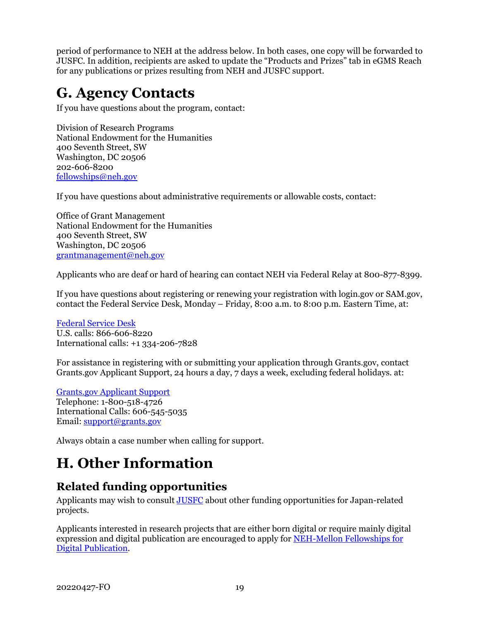period of performance to NEH at the address below. In both cases, one copy will be forwarded to JUSFC. In addition, recipients are asked to update the "Products and Prizes" tab in eGMS Reach for any publications or prizes resulting from NEH and JUSFC support.

## <span id="page-21-0"></span>**G. Agency Contacts**

If you have questions about the program, contact:

Division of Research Programs National Endowment for the Humanities 400 Seventh Street, SW Washington, DC 20506 202-606-8200 [fellowships@neh.gov](mailto:fellowships@neh.gov)

If you have questions about administrative requirements or allowable costs, contact:

Office of Grant Management National Endowment for the Humanities 400 Seventh Street, SW Washington, DC 20506 [grantmanagement@neh.gov](mailto:grantmanagement@neh.gov)

Applicants who are deaf or hard of hearing can contact NEH via Federal Relay at 800-877-8399.

If you have questions about registering or renewing your registration with login.gov or SAM.gov, contact the Federal Service Desk, Monday – Friday, 8:00 a.m. to 8:00 p.m. Eastern Time, at:

[Federal Service Desk](https://www.fsd.gov/fsd-gov/home.do) U.S. calls: 866-606-8220 International calls: +1 334-206-7828

For assistance in registering with or submitting your application through Grants.gov, contact Grants.gov Applicant Support, 24 hours a day, 7 days a week, excluding federal holidays. at:

[Grants.gov Applicant Support](https://www.grants.gov/web/grants/support.html) Telephone: 1-800-518-4726 International Calls: 606-545-5035 Email: [support@grants.gov](mailto:support@grants.gov)

<span id="page-21-1"></span>Always obtain a case number when calling for support.

# **H. Other Information**

### <span id="page-21-2"></span>**Related funding opportunities**

Applicants may wish to consult [JUSFC](https://www.jusfc.gov/) about other funding opportunities for Japan-related projects.

Applicants interested in research projects that are either born digital or require mainly digital expression and digital publication are encouraged to apply for [NEH-Mellon Fellowships for](https://www.neh.gov/grants/research/neh-mellon-fellowships-digital-publication)  Digital [Publication.](https://www.neh.gov/grants/research/neh-mellon-fellowships-digital-publication)